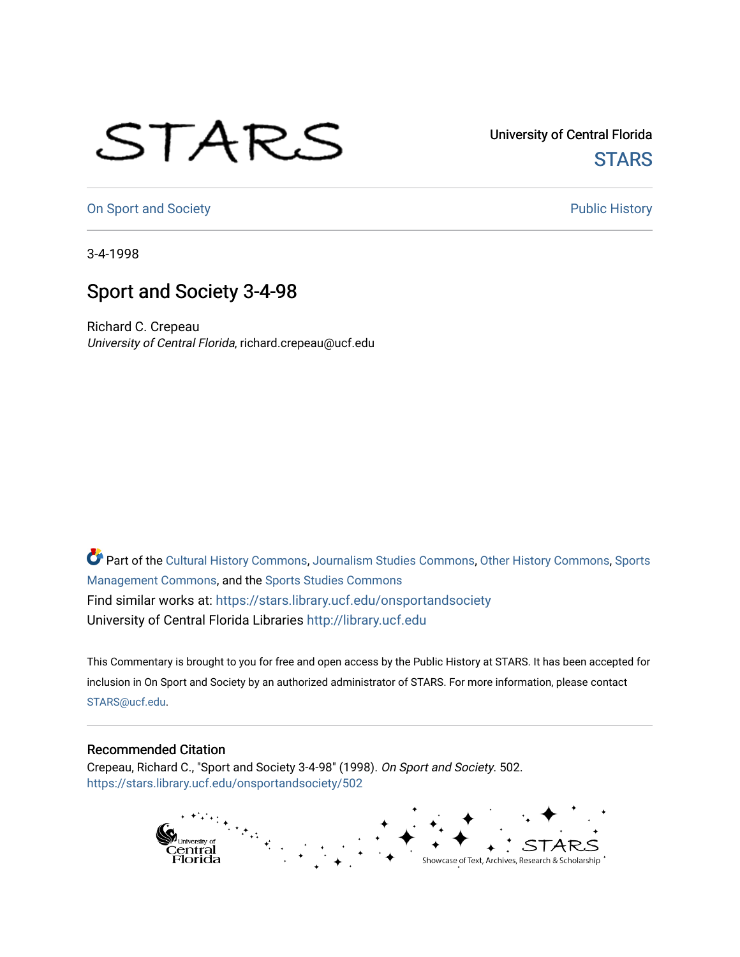## STARS

University of Central Florida **STARS** 

[On Sport and Society](https://stars.library.ucf.edu/onsportandsociety) **Public History** Public History

3-4-1998

## Sport and Society 3-4-98

Richard C. Crepeau University of Central Florida, richard.crepeau@ucf.edu

Part of the [Cultural History Commons](http://network.bepress.com/hgg/discipline/496?utm_source=stars.library.ucf.edu%2Fonsportandsociety%2F502&utm_medium=PDF&utm_campaign=PDFCoverPages), [Journalism Studies Commons,](http://network.bepress.com/hgg/discipline/333?utm_source=stars.library.ucf.edu%2Fonsportandsociety%2F502&utm_medium=PDF&utm_campaign=PDFCoverPages) [Other History Commons,](http://network.bepress.com/hgg/discipline/508?utm_source=stars.library.ucf.edu%2Fonsportandsociety%2F502&utm_medium=PDF&utm_campaign=PDFCoverPages) [Sports](http://network.bepress.com/hgg/discipline/1193?utm_source=stars.library.ucf.edu%2Fonsportandsociety%2F502&utm_medium=PDF&utm_campaign=PDFCoverPages) [Management Commons](http://network.bepress.com/hgg/discipline/1193?utm_source=stars.library.ucf.edu%2Fonsportandsociety%2F502&utm_medium=PDF&utm_campaign=PDFCoverPages), and the [Sports Studies Commons](http://network.bepress.com/hgg/discipline/1198?utm_source=stars.library.ucf.edu%2Fonsportandsociety%2F502&utm_medium=PDF&utm_campaign=PDFCoverPages) Find similar works at: <https://stars.library.ucf.edu/onsportandsociety> University of Central Florida Libraries [http://library.ucf.edu](http://library.ucf.edu/) 

This Commentary is brought to you for free and open access by the Public History at STARS. It has been accepted for inclusion in On Sport and Society by an authorized administrator of STARS. For more information, please contact [STARS@ucf.edu](mailto:STARS@ucf.edu).

## Recommended Citation

Crepeau, Richard C., "Sport and Society 3-4-98" (1998). On Sport and Society. 502. [https://stars.library.ucf.edu/onsportandsociety/502](https://stars.library.ucf.edu/onsportandsociety/502?utm_source=stars.library.ucf.edu%2Fonsportandsociety%2F502&utm_medium=PDF&utm_campaign=PDFCoverPages)

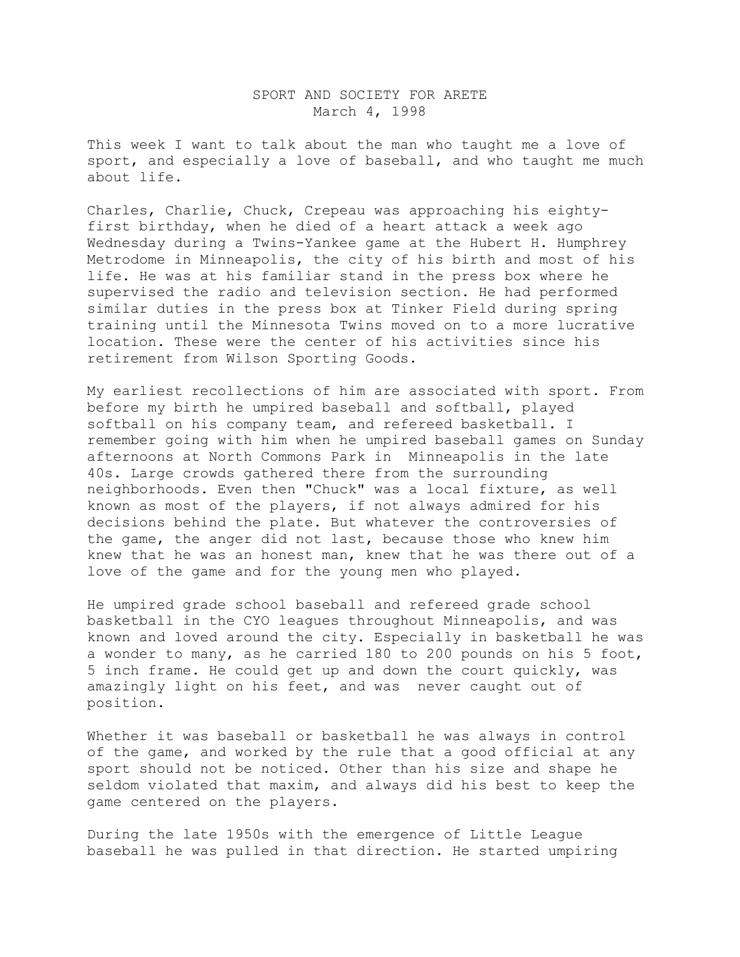## SPORT AND SOCIETY FOR ARETE March 4, 1998

This week I want to talk about the man who taught me a love of sport, and especially a love of baseball, and who taught me much about life.

Charles, Charlie, Chuck, Crepeau was approaching his eightyfirst birthday, when he died of a heart attack a week ago Wednesday during a Twins-Yankee game at the Hubert H. Humphrey Metrodome in Minneapolis, the city of his birth and most of his life. He was at his familiar stand in the press box where he supervised the radio and television section. He had performed similar duties in the press box at Tinker Field during spring training until the Minnesota Twins moved on to a more lucrative location. These were the center of his activities since his retirement from Wilson Sporting Goods.

My earliest recollections of him are associated with sport. From before my birth he umpired baseball and softball, played softball on his company team, and refereed basketball. I remember going with him when he umpired baseball games on Sunday afternoons at North Commons Park in Minneapolis in the late 40s. Large crowds gathered there from the surrounding neighborhoods. Even then "Chuck" was a local fixture, as well known as most of the players, if not always admired for his decisions behind the plate. But whatever the controversies of the game, the anger did not last, because those who knew him knew that he was an honest man, knew that he was there out of a love of the game and for the young men who played.

He umpired grade school baseball and refereed grade school basketball in the CYO leagues throughout Minneapolis, and was known and loved around the city. Especially in basketball he was a wonder to many, as he carried 180 to 200 pounds on his 5 foot, 5 inch frame. He could get up and down the court quickly, was amazingly light on his feet, and was never caught out of position.

Whether it was baseball or basketball he was always in control of the game, and worked by the rule that a good official at any sport should not be noticed. Other than his size and shape he seldom violated that maxim, and always did his best to keep the game centered on the players.

During the late 1950s with the emergence of Little League baseball he was pulled in that direction. He started umpiring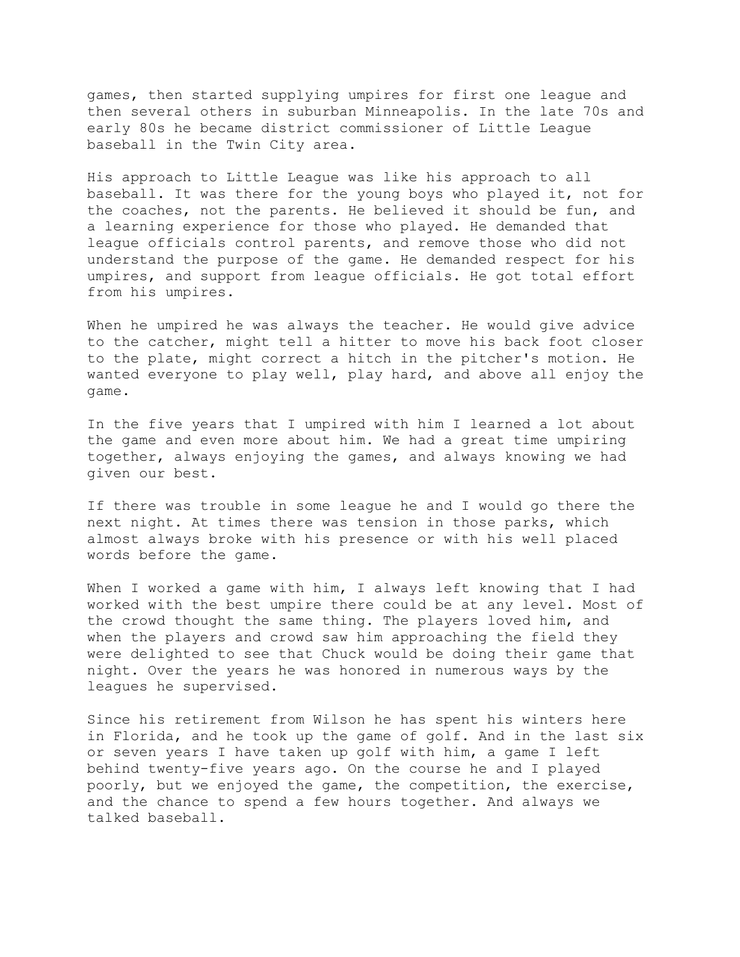games, then started supplying umpires for first one league and then several others in suburban Minneapolis. In the late 70s and early 80s he became district commissioner of Little League baseball in the Twin City area.

His approach to Little League was like his approach to all baseball. It was there for the young boys who played it, not for the coaches, not the parents. He believed it should be fun, and a learning experience for those who played. He demanded that league officials control parents, and remove those who did not understand the purpose of the game. He demanded respect for his umpires, and support from league officials. He got total effort from his umpires.

When he umpired he was always the teacher. He would give advice to the catcher, might tell a hitter to move his back foot closer to the plate, might correct a hitch in the pitcher's motion. He wanted everyone to play well, play hard, and above all enjoy the game.

In the five years that I umpired with him I learned a lot about the game and even more about him. We had a great time umpiring together, always enjoying the games, and always knowing we had given our best.

If there was trouble in some league he and I would go there the next night. At times there was tension in those parks, which almost always broke with his presence or with his well placed words before the game.

When I worked a game with him, I always left knowing that I had worked with the best umpire there could be at any level. Most of the crowd thought the same thing. The players loved him, and when the players and crowd saw him approaching the field they were delighted to see that Chuck would be doing their game that night. Over the years he was honored in numerous ways by the leagues he supervised.

Since his retirement from Wilson he has spent his winters here in Florida, and he took up the game of golf. And in the last six or seven years I have taken up golf with him, a game I left behind twenty-five years ago. On the course he and I played poorly, but we enjoyed the game, the competition, the exercise, and the chance to spend a few hours together. And always we talked baseball.